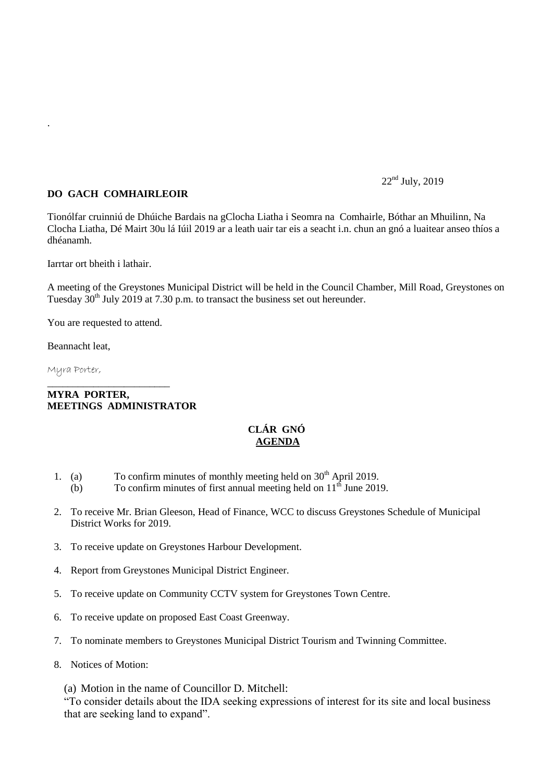## $22<sup>nd</sup>$  July, 2019

## **DO GACH COMHAIRLEOIR**

Tionólfar cruinniú de Dhúiche Bardais na gClocha Liatha i Seomra na Comhairle, Bóthar an Mhuilinn, Na Clocha Liatha, Dé Mairt 30u lá Iúil 2019 ar a leath uair tar eis a seacht i.n. chun an gnó a luaitear anseo thíos a dhéanamh.

Iarrtar ort bheith i lathair.

A meeting of the Greystones Municipal District will be held in the Council Chamber, Mill Road, Greystones on Tuesday  $30<sup>th</sup>$  July 2019 at 7.30 p.m. to transact the business set out hereunder.

You are requested to attend.

\_\_\_\_\_\_\_\_\_\_\_\_\_\_\_\_\_\_\_\_\_\_\_\_

Beannacht leat,

Myra Porter,

.

## **MYRA PORTER, MEETINGS ADMINISTRATOR**

## **CLÁR GNÓ AGENDA**

- 1. (a) To confirm minutes of monthly meeting held on  $30<sup>th</sup>$  April 2019.
	- (b) To confirm minutes of first annual meeting held on  $11<sup>th</sup>$  June 2019.
- 2. To receive Mr. Brian Gleeson, Head of Finance, WCC to discuss Greystones Schedule of Municipal District Works for 2019.
- 3. To receive update on Greystones Harbour Development.
- 4. Report from Greystones Municipal District Engineer.
- 5. To receive update on Community CCTV system for Greystones Town Centre.
- 6. To receive update on proposed East Coast Greenway.
- 7. To nominate members to Greystones Municipal District Tourism and Twinning Committee.
- 8. Notices of Motion:

(a) Motion in the name of Councillor D. Mitchell:

"To consider details about the IDA seeking expressions of interest for its site and local business that are seeking land to expand".